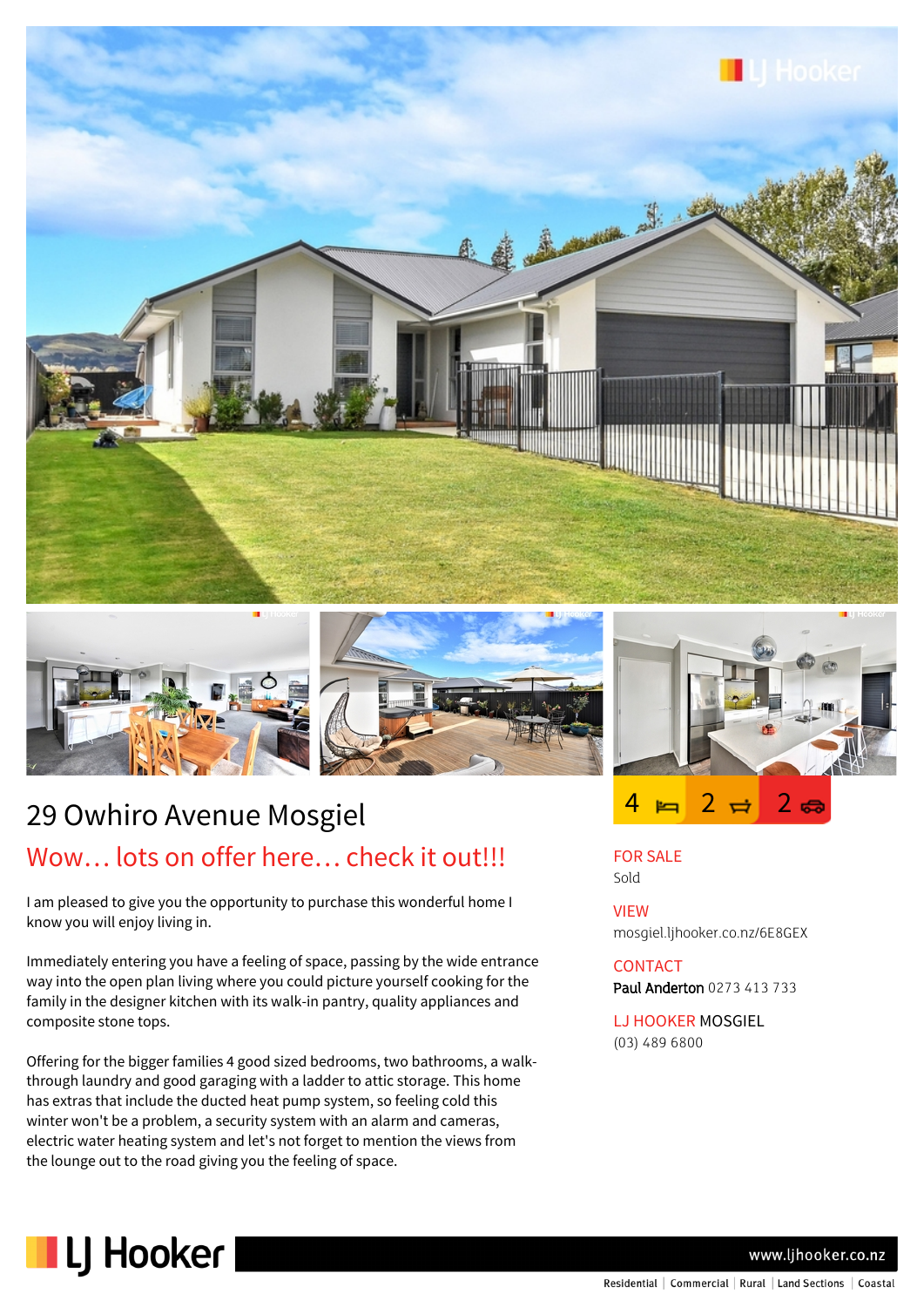





# 29 Owhiro Avenue Mosgiel Wow... lots on offer here... check it out!!!

I am pleased to give you the opportunity to purchase this wonderful home I know you will enjoy living in.

Immediately entering you have a feeling of space, passing by the wide entrance way into the open plan living where you could picture yourself cooking for the family in the designer kitchen with its walk-in pantry, quality appliances and composite stone tops.

Offering for the bigger families 4 good sized bedrooms, two bathrooms, a walkthrough laundry and good garaging with a ladder to attic storage. This home has extras that include the ducted heat pump system, so feeling cold this winter won't be a problem, a security system with an alarm and cameras, electric water heating system and let's not forget to mention the views from the lounge out to the road giving you the feeling of space.



FOR SALE Sold

VIEW mosgiel.ljhooker.co.nz/6E8GEX

### CONTACT Paul Anderton 0273 413 733

LJ HOOKER MOSGIEL (03) 489 6800



www.lihooker.co.nz